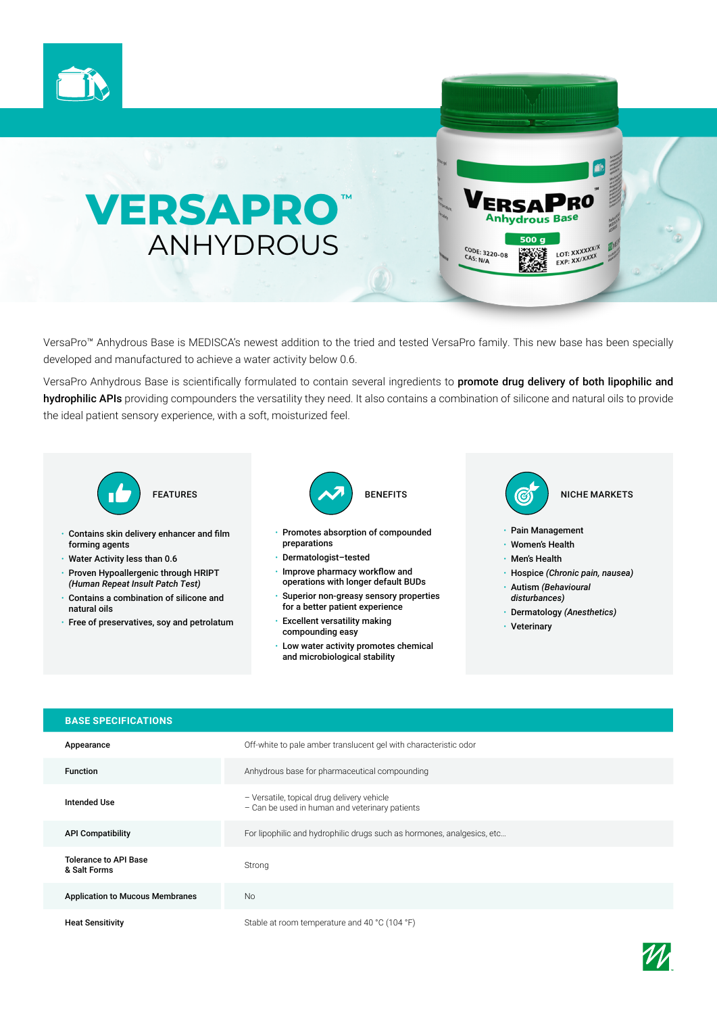



VersaPro™ Anhydrous Base is MEDISCA's newest addition to the tried and tested VersaPro family. This new base has been specially developed and manufactured to achieve a water activity below 0.6.

VersaPro Anhydrous Base is scientifically formulated to contain several ingredients to promote drug delivery of both lipophilic and hydrophilic APIs providing compounders the versatility they need. It also contains a combination of silicone and natural oils to provide the ideal patient sensory experience, with a soft, moisturized feel.



- Contains skin delivery enhancer and film forming agents
- Water Activity less than 0.6
- Proven Hypoallergenic through HRIPT *(Human Repeat Insult Patch Test)*
- Contains a combination of silicone and natural oils
- Free of preservatives, soy and petrolatum



- Promotes absorption of compounded preparations
- Dermatologist–tested
- Improve pharmacy workflow and operations with longer default BUDs
- Superior non-greasy sensory properties for a better patient experience
- Excellent versatility making compounding easy
- Low water activity promotes chemical and microbiological stability



- Pain Management
- Women's Health

**Anhydrous Base** 500 a

CODE: 3220-08<br>CAS: N/A

LOT: XXXXXXIX<br>EXP: XXIXXXX

- Men's Health
- Hospice *(Chronic pain, nausea)*
- Autism *(Behavioural disturbances)*
- Dermatology *(Anesthetics)*
- Veterinary

| <b>BASE SPECIFICATIONS</b>                   |                                                                                              |
|----------------------------------------------|----------------------------------------------------------------------------------------------|
| Appearance                                   | Off-white to pale amber translucent gel with characteristic odor                             |
| <b>Function</b>                              | Anhydrous base for pharmaceutical compounding                                                |
| <b>Intended Use</b>                          | - Versatile, topical drug delivery vehicle<br>- Can be used in human and veterinary patients |
| <b>API Compatibility</b>                     | For lipophilic and hydrophilic drugs such as hormones, analgesics, etc                       |
| <b>Tolerance to API Base</b><br>& Salt Forms | Strong                                                                                       |
| <b>Application to Mucous Membranes</b>       | <b>No</b>                                                                                    |
| <b>Heat Sensitivity</b>                      | Stable at room temperature and 40 °C (104 °F)                                                |